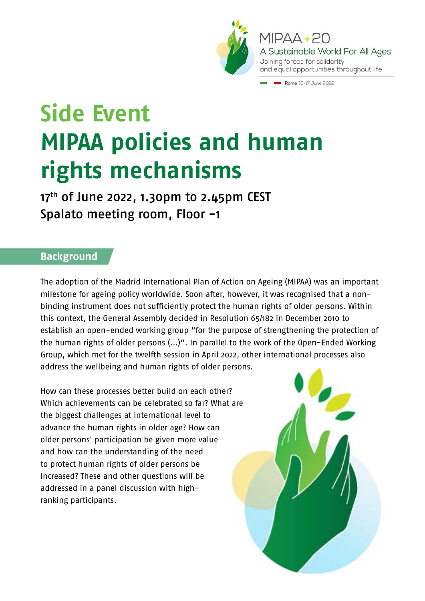

MIPAA+20 A Sustainable World For All Ages Joining forces for solidarity and equal opportunities throughout life

Rome 15-17 June 2022

# **Side Event MIPAA policies and human rights mechanisms**

 $17<sup>th</sup>$  of June 2022, 1.30pm to 2.45pm CEST Spalato meeting room, Floor -1

#### **Background**

The adoption of the Madrid International Plan of Action on Ageing (MIPAA) was an important milestone for ageing policy worldwide. Soon after, however, it was recognised that a nonbinding instrument does not sufficiently protect the human rights of older persons. Within this context, the General Assembly decided in Resolution 65/182 in December 2010 to establish an open-ended working group "for the purpose of strengthening the protection of the human rights of older persons (…)". In parallel to the work of the Open-Ended Working Group, which met for the twelfth session in April 2022, other international processes also address the wellbeing and human rights of older persons.

How can these processes better build on each other? Which achievements can be celebrated so far? What are the biggest challenges at international level to advance the human rights in older age? How can older persons' participation be given more value and how can the understanding of the need to protect human rights of older persons be increased? These and other questions will be addressed in a panel discussion with highranking participants.